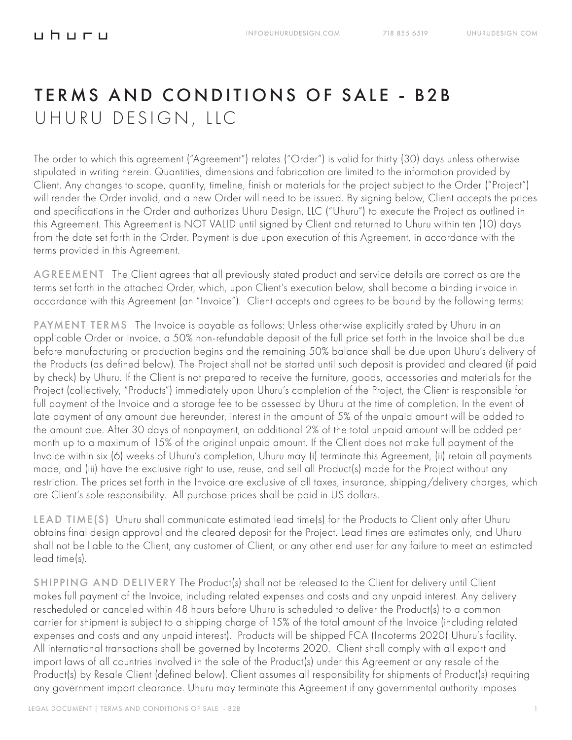# TERMS AND CONDITIONS OF SALE - B2B UHURU DESIGN, LLC

The order to which this agreement ("Agreement") relates ("Order") is valid for thirty (30) days unless otherwise stipulated in writing herein. Quantities, dimensions and fabrication are limited to the information provided by Client. Any changes to scope, quantity, timeline, finish or materials for the project subject to the Order ("Project") will render the Order invalid, and a new Order will need to be issued. By signing below, Client accepts the prices and specifications in the Order and authorizes Uhuru Design, LLC ("Uhuru") to execute the Project as outlined in this Agreement. This Agreement is NOT VALID until signed by Client and returned to Uhuru within ten (10) days from the date set forth in the Order. Payment is due upon execution of this Agreement, in accordance with the terms provided in this Agreement.

AGREEMENT The Client agrees that all previously stated product and service details are correct as are the terms set forth in the attached Order, which, upon Client's execution below, shall become a binding invoice in accordance with this Agreement (an "Invoice"). Client accepts and agrees to be bound by the following terms:

PAYMENT TERMS The Invoice is payable as follows: Unless otherwise explicitly stated by Uhuru in an applicable Order or Invoice, a 50% non-refundable deposit of the full price set forth in the Invoice shall be due before manufacturing or production begins and the remaining 50% balance shall be due upon Uhuru's delivery of the Products (as defined below). The Project shall not be started until such deposit is provided and cleared (if paid by check) by Uhuru. If the Client is not prepared to receive the furniture, goods, accessories and materials for the Project (collectively, "Products") immediately upon Uhuru's completion of the Project, the Client is responsible for full payment of the Invoice and a storage fee to be assessed by Uhuru at the time of completion. In the event of late payment of any amount due hereunder, interest in the amount of 5% of the unpaid amount will be added to the amount due. After 30 days of nonpayment, an additional 2% of the total unpaid amount will be added per month up to a maximum of 15% of the original unpaid amount. If the Client does not make full payment of the Invoice within six (6) weeks of Uhuru's completion, Uhuru may (i) terminate this Agreement, (ii) retain all payments made, and (iii) have the exclusive right to use, reuse, and sell all Product(s) made for the Project without any restriction. The prices set forth in the Invoice are exclusive of all taxes, insurance, shipping/delivery charges, which are Client's sole responsibility. All purchase prices shall be paid in US dollars.

LEAD TIME(S) Uhuru shall communicate estimated lead time(s) for the Products to Client only after Uhuru obtains final design approval and the cleared deposit for the Project. Lead times are estimates only, and Uhuru shall not be liable to the Client, any customer of Client, or any other end user for any failure to meet an estimated lead time(s).

SHIPPING AND DELIVERY The Product(s) shall not be released to the Client for delivery until Client makes full payment of the Invoice, including related expenses and costs and any unpaid interest. Any delivery rescheduled or canceled within 48 hours before Uhuru is scheduled to deliver the Product(s) to a common carrier for shipment is subject to a shipping charge of 15% of the total amount of the Invoice (including related expenses and costs and any unpaid interest). Products will be shipped FCA (Incoterms 2020) Uhuru's facility. All international transactions shall be governed by Incoterms 2020. Client shall comply with all export and import laws of all countries involved in the sale of the Product(s) under this Agreement or any resale of the Product(s) by Resale Client (defined below). Client assumes all responsibility for shipments of Product(s) requiring any government import clearance. Uhuru may terminate this Agreement if any governmental authority imposes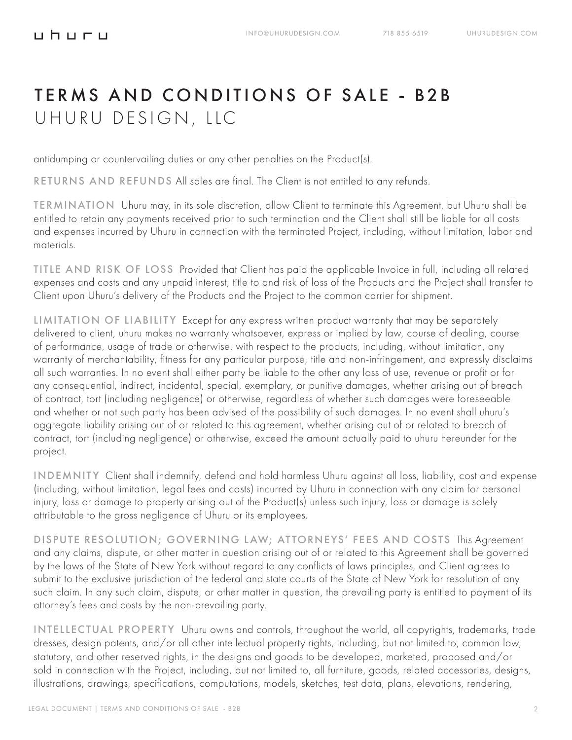#### <u>uhuru</u>

# TERMS AND CONDITIONS OF SALE - B2B UHURU DESIGN, LLC

antidumping or countervailing duties or any other penalties on the Product(s).

RETURNS AND REFUNDS All sales are final. The Client is not entitled to any refunds.

TERMINATION Uhuru may, in its sole discretion, allow Client to terminate this Agreement, but Uhuru shall be entitled to retain any payments received prior to such termination and the Client shall still be liable for all costs and expenses incurred by Uhuru in connection with the terminated Project, including, without limitation, labor and materials.

TITLE AND RISK OF LOSS Provided that Client has paid the applicable Invoice in full, including all related expenses and costs and any unpaid interest, title to and risk of loss of the Products and the Project shall transfer to Client upon Uhuru's delivery of the Products and the Project to the common carrier for shipment.

LIMITATION OF LIABILITY Except for any express written product warranty that may be separately delivered to client, uhuru makes no warranty whatsoever, express or implied by law, course of dealing, course of performance, usage of trade or otherwise, with respect to the products, including, without limitation, any warranty of merchantability, fitness for any particular purpose, title and non-infringement, and expressly disclaims all such warranties. In no event shall either party be liable to the other any loss of use, revenue or profit or for any consequential, indirect, incidental, special, exemplary, or punitive damages, whether arising out of breach of contract, tort (including negligence) or otherwise, regardless of whether such damages were foreseeable and whether or not such party has been advised of the possibility of such damages. In no event shall uhuru's aggregate liability arising out of or related to this agreement, whether arising out of or related to breach of contract, tort (including negligence) or otherwise, exceed the amount actually paid to uhuru hereunder for the project.

INDEMNITY Client shall indemnify, defend and hold harmless Uhuru against all loss, liability, cost and expense (including, without limitation, legal fees and costs) incurred by Uhuru in connection with any claim for personal injury, loss or damage to property arising out of the Product(s) unless such injury, loss or damage is solely attributable to the gross negligence of Uhuru or its employees.

DISPUTE RESOLUTION; GOVERNING LAW; ATTORNEYS' FEES AND COSTS This Agreement and any claims, dispute, or other matter in question arising out of or related to this Agreement shall be governed by the laws of the State of New York without regard to any conflicts of laws principles, and Client agrees to submit to the exclusive jurisdiction of the federal and state courts of the State of New York for resolution of any such claim. In any such claim, dispute, or other matter in question, the prevailing party is entitled to payment of its attorney's fees and costs by the non-prevailing party.

INTELLECTUAL PROPERTY Uhuru owns and controls, throughout the world, all copyrights, trademarks, trade dresses, design patents, and/or all other intellectual property rights, including, but not limited to, common law, statutory, and other reserved rights, in the designs and goods to be developed, marketed, proposed and/or sold in connection with the Project, including, but not limited to, all furniture, goods, related accessories, designs, illustrations, drawings, specifications, computations, models, sketches, test data, plans, elevations, rendering,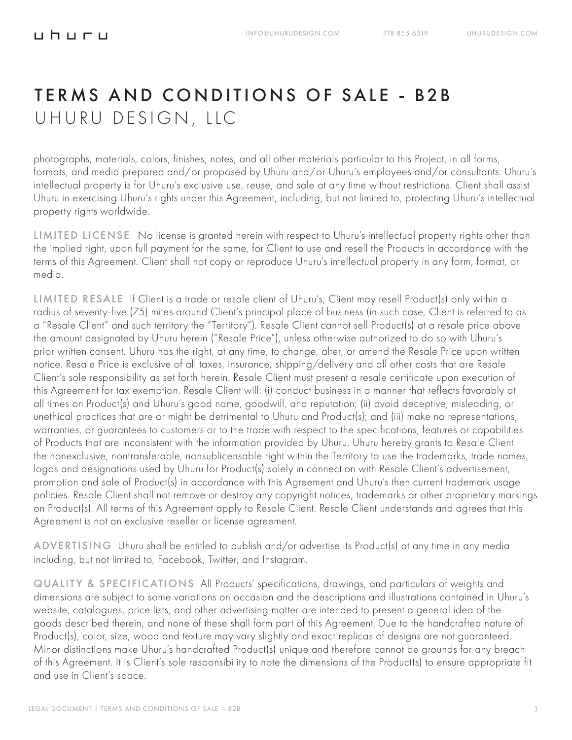### TERMS AND CONDITIONS OF SALE - B2B UHURU DESIGN, LLC

photographs, materials, colors, finishes, notes, and all other materials particular to this Project, in all forms, formats, and media prepared and/or proposed by Uhuru and/or Uhuru's employees and/or consultants. Uhuru's intellectual property is for Uhuru's exclusive use, reuse, and sale at any time without restrictions. Client shall assist Uhuru in exercising Uhuru's rights under this Agreement, including, but not limited to, protecting Uhuru's intellectual property rights worldwide.

LIMITED LICENSE No license is granted herein with respect to Uhuru's intellectual property rights other than the implied right, upon full payment for the same, for Client to use and resell the Products in accordance with the terms of this Agreement. Client shall not copy or reproduce Uhuru's intellectual property in any form, format, or media.

LIMITED RESALE If Client is a trade or resale client of Uhuru's, Client may resell Product(s) only within a radius of seventy-five (75) miles around Client's principal place of business (in such case, Client is referred to as a "Resale Client" and such territory the "Territory"). Resale Client cannot sell Product(s) at a resale price above the amount designated by Uhuru herein ("Resale Price"), unless otherwise authorized to do so with Uhuru's prior written consent. Uhuru has the right, at any time, to change, alter, or amend the Resale Price upon written notice. Resale Price is exclusive of all taxes, insurance, shipping/delivery and all other costs that are Resale Client's sole responsibility as set forth herein. Resale Client must present a resale certificate upon execution of this Agreement for tax exemption. Resale Client will: (i) conduct business in a manner that reflects favorably at all times on Product(s) and Uhuru's good name, goodwill, and reputation; (ii) avoid deceptive, misleading, or unethical practices that are or might be detrimental to Uhuru and Product(s); and (iii) make no representations, warranties, or guarantees to customers or to the trade with respect to the specifications, features or capabilities of Products that are inconsistent with the information provided by Uhuru. Uhuru hereby grants to Resale Client the nonexclusive, nontransferable, nonsublicensable right within the Territory to use the trademarks, trade names, logos and designations used by Uhuru for Product(s) solely in connection with Resale Client's advertisement, promotion and sale of Product(s) in accordance with this Agreement and Uhuru's then current trademark usage policies. Resale Client shall not remove or destroy any copyright notices, trademarks or other proprietary markings on Product(s). All terms of this Agreement apply to Resale Client. Resale Client understands and agrees that this Agreement is not an exclusive reseller or license agreement.

ADVERTISING Uhuru shall be entitled to publish and/or advertise its Product(s) at any time in any media including, but not limited to, Facebook, Twitter, and Instagram.

QUALITY & SPECIFICATIONS All Products' specifications, drawings, and particulars of weights and dimensions are subject to some variations on occasion and the descriptions and illustrations contained in Uhuru's website, catalogues, price lists, and other advertising matter are intended to present a general idea of the goods described therein, and none of these shall form part of this Agreement. Due to the handcrafted nature of Product(s), color, size, wood and texture may vary slightly and exact replicas of designs are not guaranteed. Minor distinctions make Uhuru's handcrafted Product(s) unique and therefore cannot be grounds for any breach of this Agreement. It is Client's sole responsibility to note the dimensions of the Product(s) to ensure appropriate fit and use in Client's space.